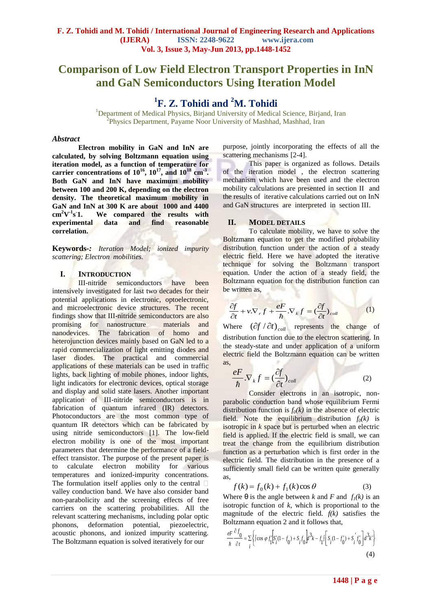# **Comparison of Low Field Electron Transport Properties in InN and GaN Semiconductors Using Iteration Model**

# **1 F. Z. Tohidi and <sup>2</sup>M. Tohidi**

<sup>1</sup>Department of Medical Physics, Birjand University of Medical Science, Birjand, Iran <sup>2</sup>Physics Department, Payame Noor University of Mashhad, Mashhad, Iran

## *Abstract*

**Electron mobility in GaN and InN are calculated, by solving Boltzmann equation using iteration model, as a function of temperature for carrier concentrations of 10<sup>16</sup>, 10<sup>17</sup>, and 10<sup>18</sup> cm-3 . Both GaN and InN have maximum mobility between 100 and 200 K, depending on the electron density. The theoretical maximum mobility in GaN and InN at 300 K are about 1000 and 4400**   $cm^2V^{-1}s$ **1. We compared the results with experimental data and find reasonable correlation.**

**Keywords***-: Iteration Model; ionized impurity scattering; Electron mobilities.*

## **I. INTRODUCTION**

III-nitride semiconductors have been intensively investigated for last two decades for their potential applications in electronic, optoelectronic, and microelectronic device structures. The recent findings show that III-nitride semiconductors are also promising for nanostructure materials and nanodevices. The fabrication of homo and heterojunction devices mainly based on GaN led to a rapid commercialization of light emitting diodes and laser diodes. The practical and commercial applications of these materials can be used in traffic lights, back lighting of mobile phones, indoor lights, light indicators for electronic devices, optical storage and display and solid state lasers. Another important application of III-nitride semiconductors is in fabrication of quantum infrared (IR) detectors. Photoconductors are the most common type of quantum IR detectors which can be fabricated by using nitride semiconductors [1]. The low-field electron mobility is one of the most important parameters that determine the performance of a fieldeffect transistor. The purpose of the present paper is to calculate electron mobility for various temperatures and ionized-impurity concentrations. The formulation itself applies only to the central  $\Box$ valley conduction band. We have also consider band non-parabolicity and the screening effects of free carriers on the scattering probabilities. All the relevant scattering mechanisms, including polar optic phonons, deformation potential, piezoelectric, acoustic phonons, and ionized impurity scattering. The Boltzmann equation is solved iteratively for our

purpose, jointly incorporating the effects of all the scattering mechanisms [2-4].

This paper is organized as follows. Details of the iteration model , the electron scattering mechanism which have been used and the electron mobility calculations are presented in section II and the results of iterative calculations carried out on InN and GaN structures are interpreted in section III.

## **II. MODEL DETAILS**

To calculate mobility, we have to solve the Boltzmann equation to get the modified probability distribution function under the action of a steady electric field. Here we have adopted the iterative technique for solving the Boltzmann transport equation. Under the action of a steady field, the Boltzmann equation for the distribution function can be written as,

$$
\frac{\partial f}{\partial t} + v \cdot \nabla_r f + \frac{eF}{\hbar} \cdot \nabla_k f = \left(\frac{\partial f}{\partial t}\right)_{coll} \tag{1}
$$

Where  $(\partial f / \partial t)_{coll}$  represents the change of distribution function due to the electron scattering. In the steady-state and under application of a uniform electric field the Boltzmann equation can be written as,

$$
\frac{eF}{\hbar}.\nabla_k f = (\frac{\partial f}{\partial t})_{coll} \tag{2}
$$

Consider electrons in an isotropic, nonparabolic conduction band whose equilibrium Fermi distribution function is  $f_0(k)$  in the absence of electric field. Note the equilibrium distribution  $f_0(k)$  is isotropic in *k* space but is perturbed when an electric field is applied. If the electric field is small, we can treat the change from the equilibrium distribution function as a perturbation which is first order in the electric field. The distribution in the presence of a sufficiently small field can be written quite generally as,

$$
f(k) = f_0(k) + f_1(k)\cos\theta\tag{3}
$$

Where  $\theta$  is the angle between *k* and *F* and  $f_1(k)$  is an isotropic function of *k*, which is proportional to the magnitude of the electric field*. f(k)* satisfies the Boltzmann equation 2 and it follows that,

$$
\frac{eF}{\hbar} \frac{\partial f_0}{\partial t} = \sum_{i} \left\{ \int \cos \varphi f_1' \left[ S_i'(1 - f_0) + S_i f_0 \right] d^3k - f_1 \left[ \int S_i(1 - f_0') + S_i' f_0' \right] d^3k' \right\}
$$
\n(4)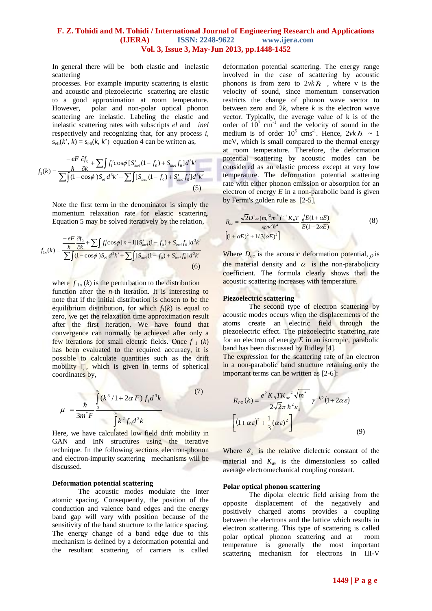In general there will be both elastic and inelastic scattering

processes. For example impurity scattering is elastic and acoustic and piezoelectric scattering are elastic to a good approximation at room temperature. However, polar and non-polar optical phonon scattering are inelastic. Labeling the elastic and inelastic scattering rates with subscripts *el* and *inel*  respectively and recognizing that, for any process *i*,  $s_{\text{eli}}(k^{\prime}, k) = s_{\text{eli}}(k, k^{\prime})$  equation 4 can be written as,

$$
f_1(k) = \frac{-eF}{\hbar} \frac{\partial f_0}{\partial k} + \sum \int f_1' \cos \phi \left[ S'_{inel}(1 - f_0) + S_{inel} f_0 \right] d^3 k'}{\sum \int (1 - \cos \phi) S_{el} d^3 k' + \sum \int [S_{inel}(1 - f_0) + S'_{inel} f_0'] d^3 k'} \tag{5}
$$

Note the first term in the denominator is simply the momentum relaxation rate for elastic scattering. Equation 5 may be solved iteratively by the relation,

$$
f_{1n}(k) = \frac{-eF}{\sum_{n=0}^{n} \frac{\partial f_0}{\partial k} + \sum_{n=0}^{n} \int f_1' \cos\phi \left[ n - 1 \right] \left[ S'_{\text{inel}}(1 - f_0) + S_{\text{inel}} f_0 \right] d^3 k'}{\sum_{n=0}^{n} \int (1 - \cos\phi) S_{el} d^3 k' + \sum_{n=0}^{n} \int (S_{\text{inel}}(1 - f_0) + S'_{\text{inel}} f_0') d^3 k'} \tag{6}
$$

where  $f_{1n}(k)$  is the perturbation to the distribution function after the *n*-th iteration. It is interesting to note that if the initial distribution is chosen to be the equilibrium distribution, for which  $f_1(k)$  is equal to zero, we get the relaxation time approximation result after the first iteration. We have found that convergence can normally be achieved after only a few iterations for small electric fields. Once  $f_1(k)$ has been evaluated to the required accuracy, it is possible to calculate quantities such as the drift mobility  $\Box$ , which is given in terms of spherical coordinates by,

$$
\mu = \frac{\hbar}{3m^*F} \int_{0}^{\infty} \frac{k^3}{(k^3 + 1 + 2\alpha F)f_1 d^3k}
$$
(7)

Here, we have calculated low field drift mobility in GAN and InN structures using the iterative technique. In the following sections electron-phonon and electron-impurity scattering mechanisms will be discussed.

## **Deformation potential scattering**

The acoustic modes modulate the inter atomic spacing. Consequently, the position of the conduction and valence band edges and the energy band gap will vary with position because of the sensitivity of the band structure to the lattice spacing. The energy change of a band edge due to this mechanism is defined by a deformation potential and the resultant scattering of carriers is called

deformation potential scattering. The energy range involved in the case of scattering by acoustic phonons is from zero to  $2\nu k\hbar$ , where v is the velocity of sound, since momentum conservation restricts the change of phonon wave vector to between zero and  $2k$ , where  $k$  is the electron wave vector. Typically, the average value of k is of the order of  $10^7$  cm<sup>-1</sup> and the velocity of sound in the medium is of order  $10^5$  cms<sup>-1</sup>. Hence,  $2vk\hbar \sim 1$ meV, which is small compared to the thermal energy at room temperature. Therefore, the deformation potential scattering by acoustic modes can be considered as an elastic process except at very low temperature. The deformation potential scattering rate with either phonon emission or absorption for an electron of energy  $E$  in a non-parabolic band is given by Fermi's golden rule as [2-5],

$$
R_{de} = \frac{\sqrt{2}D^2{}_{ac}(m_t^{*2}m_t^{*})^{1/2}K_B T}{\pi \rho v^2 \hbar^4} \frac{\sqrt{E(1+\alpha E)}}{E(1+2\alpha E)} \tag{8}
$$
  

$$
\left[ (1+\alpha E)^2 + 1/3(\alpha E)^2 \right]
$$

Where  $D_{ac}$  is the acoustic deformation potential,  $\rho$  is the material density and  $\alpha$  is the non-parabolicity coefficient. The formula clearly shows that the acoustic scattering increases with temperature.

### **Piezoelectric scattering**

The second type of electron scattering by acoustic modes occurs when the displacements of the atoms create an electric field through the piezoelectric effect. The piezoelectric scattering rate for an electron of energy *E* in an isotropic, parabolic band has been discussed by Ridley [4].

The expression for the scattering rate of an electron in a non-parabolic band structure retaining only the important terms can be written as [2-6]:

$$
R_{pz}(k) = \frac{e^2 K_B T K_{av}^2 \sqrt{m^*}}{2\sqrt{2}\pi \hbar^2 \varepsilon_s} \gamma^{-1/2} (1 + 2\alpha \varepsilon)
$$

$$
\left[ (1 + \alpha \varepsilon)^2 + \frac{1}{3} (\alpha \varepsilon)^2 \right] \tag{9}
$$

Where  $\varepsilon$ <sub>s</sub> is the relative dielectric constant of the material and  $K_{av}$  is the dimensionless so called average electromechanical coupling constant.

#### **Polar optical phonon scattering**

The dipolar electric field arising from the opposite displacement of the negatively and positively charged atoms provides a coupling between the electrons and the lattice which results in electron scattering. This type of scattering is called polar optical phonon scattering and at room temperature is generally the most important scattering mechanism for electrons in III-V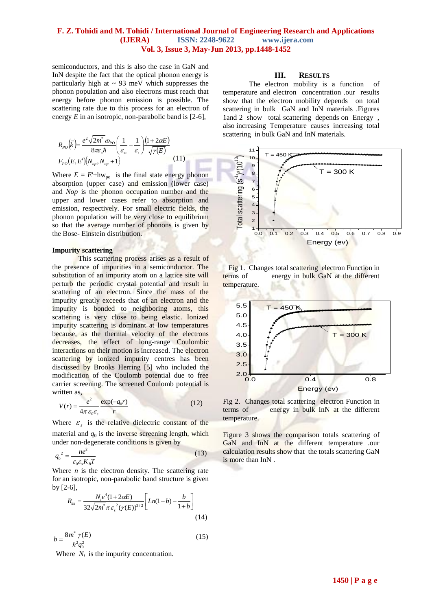semiconductors, and this is also the case in GaN and InN despite the fact that the optical phonon energy is particularly high at  $\sim 93$  meV which suppresses the phonon population and also electrons must reach that energy before phonon emission is possible. The scattering rate due to this process for an electron of energy *E* in an isotropic, non-parabolic band is [2-6],

$$
R_{p_O}(\vec{k}) = \frac{e^2 \sqrt{2m^*} \omega_{p_O}}{8\pi \varepsilon \hbar} \left(\frac{1}{\varepsilon_{\infty}} - \frac{1}{\varepsilon_{\infty}}\right) \frac{(1 + 2\alpha E)}{\sqrt{\gamma(E)}}
$$
  
\n
$$
F_{p_O}(E, E') \{N_{op}, N_{op} + 1\}
$$
 (11)

Where  $E = E^{\perp}$ hw<sub>po</sub> is the final state energy phonon absorption (upper case) and emission (lower case) and *Nop* is the phonon occupation number and the upper and lower cases refer to absorption and emission, respectively. For small electric fields, the phonon population will be very close to equilibrium so that the average number of phonons is given by the Bose- Einstein distribution.

## **Impurity scattering**

This scattering process arises as a result of the presence of impurities in a semiconductor. The substitution of an impurity atom on a lattice site will perturb the periodic crystal potential and result in scattering of an electron. Since the mass of the impurity greatly exceeds that of an electron and the impurity is bonded to neighboring atoms, this scattering is very close to being elastic. Ionized impurity scattering is dominant at low temperatures because, as the thermal velocity of the electrons decreases, the effect of long-range Coulombic interactions on their motion is increased. The electron scattering by ionized impurity centres has been discussed by Brooks Herring [5] who included the modification of the Coulomb potential due to free carrier screening. The screened Coulomb potential is written as,

$$
V(r) = \frac{e^2}{4\pi \varepsilon_0 \varepsilon_s} \frac{\exp(-q_0 r)}{r}
$$
 (12)

Where  $\varepsilon$ <sub>s</sub> is the relative dielectric constant of the material and  $q_0$  is the inverse screening length, which under non-degenerate conditions is given by

$$
q_0^2 = \frac{ne^2}{\varepsilon_0 \varepsilon_s K_B T}
$$
 (13)

Where  $n$  is the electron density. The scattering rate for an isotropic, non-parabolic band structure is given by [2-6],

$$
R_{im} = \frac{N_i e^4 (1 + 2\alpha E)}{32\sqrt{2m^* \pi \varepsilon_s^2 (\gamma(E))^{3/2}}} \left[ Ln(1+b) - \frac{b}{1+b} \right]
$$
(14)

$$
b = \frac{8m^* \gamma(E)}{\hbar^2 q_0^2} \tag{15}
$$

Where  $N_i$  is the impurity concentration.

# **III. RESULTS**

The electron mobility is a function of temperature and electron concentration .our results show that the electron mobility depends on total scattering in bulk GaN and InN materials .Figures 1and 2 show total scattering depends on Energy , also increasing Temperature causes increasing total scattering in bulk GaN and InN materials.







Fig 2. Changes total scattering electron Function in terms of energy in bulk InN at the different temperature.

Figure 3 shows the comparison totals scattering of GaN and InN at the different temperature .our calculation results show that the totals scattering GaN is more than InN .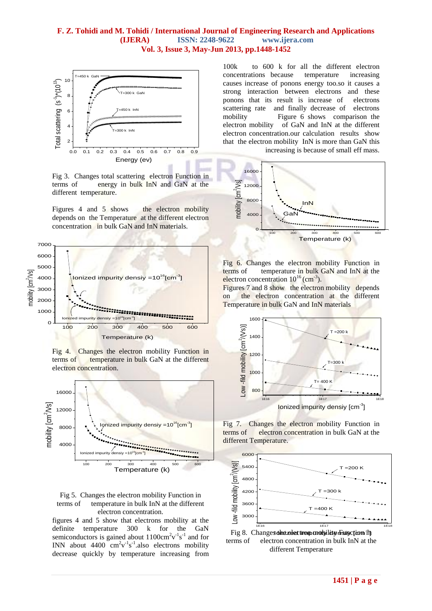

Fig 3. Changes total scattering electron Function in terms of energy in bulk InN and GaN at the different temperature.

Figures 4 and 5 shows the electron mobility depends on the Temperature at the different electron concentration in bulk GaN and InN materials.



Fig 4. Changes the electron mobility Function in terms of temperature in bulk GaN at the different electron concentration.





figures 4 and 5 show that electrons mobility at the definite temperature 300 k for the GaN semiconductors is gained about  $1100 \text{cm}^2 \text{v}^{-1} \text{s}^{-1}$  and for INN about  $4400 \text{ cm}^2 \text{v}^{-1} \text{s}^{-1}$  also electrons mobility decrease quickly by temperature increasing from

100k to 600 k for all the different electron concentrations because temperature increasing causes increase of ponons energy too.so it causes a strong interaction between electrons and these ponons that its result is increase of electrons scattering rate and finally decrease of electrons mobility Figure 6 shows comparison the electron mobility of GaN and InN at the different electron concentration.our calculation results show that the electron mobility InN is more than GaN this

increasing is because of small eff mass.



Fig 6. Changes the electron mobility Function in terms of temperature in bulk GaN and InN at the electron concentration  $10^{16}$  (cm<sup>-3</sup>).

Figures 7 and 8 show the electron mobility depends on the electron concentration at the different Temperature in bulk GaN and InN materials



Fig 7. Changes the electron mobility Function in terms of electron concentration in bulk GaN at the different Temperature.



different Temperature